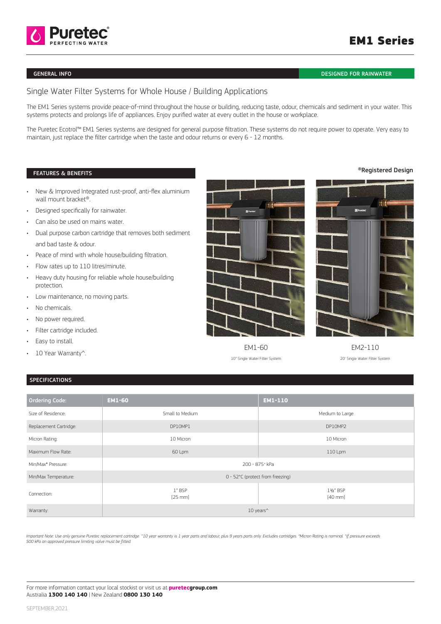

## GENERAL INFO DESIGNED FOR RAINWATER

# Single Water Filter Systems for Whole House / Building Applications

The EM1 Series systems provide peace-of-mind throughout the house or building, reducing taste, odour, chemicals and sediment in your water. This systems protects and prolongs life of appliances. Enjoy purified water at every outlet in the house or workplace.

The Puretec Ecotrol™ EM1 Series systems are designed for general purpose filtration. These systems do not require power to operate. Very easy to maintain, just replace the filter cartridge when the taste and odour returns or every 6 - 12 months.

#### FEATURES & BENEFITS

- New & Improved Integrated rust-proof, anti-flex aluminium wall mount bracket®.
- Designed specifically for rainwater.
- Can also be used on mains water.
- Dual purpose carbon cartridge that removes both sediment and bad taste & odour.
- Peace of mind with whole house/building filtration.
- Flow rates up to 110 litres/minute.
- Heavy duty housing for reliable whole house/building protection.
- Low maintenance, no moving parts.
- No chemicals.
- No power required.
- Filter cartridge included.
- Easy to install.
- 10 Year Warranty^.





EM1-60 EM2-110

10" Single Water Filter System 20' Single Water Filter System

## SPECIFICATIONS

| <b>Ordering Code:</b>          | <b>EM1-60</b>                   | <b>EM1-110</b>          |
|--------------------------------|---------------------------------|-------------------------|
| Size of Residence:             | Small to Medium                 | Medium to Large         |
| Replacement Cartridge:         | DP10MP1                         | DP10MP2                 |
| Micron Rating:                 | 10 Micron                       | 10 Micron               |
| Maximum Flow Rate:             | 60 Lpm                          | 110 Lpm                 |
| Min/Max <sup>+</sup> Pressure: | 200 - 875 * kPa                 |                         |
| Min/Max Temperature:           | 0 - 52℃ (protect from freezing) |                         |
| Connection:                    | 1" BSP<br>[25 mm]               | 1½" BSP<br>$[40$ mm $]$ |
| Warranty:                      | 10 years <sup>^</sup>           |                         |

Important Note: Use only genuine Puretec replacement cartridge. ^10 year warranty is 1 year and labour, plus 9 years parts only. Excludes cartridges. "Micron Rating is nominal. "If pressure exceeds<br>500 kPa an approved pres

### ®Registered Design